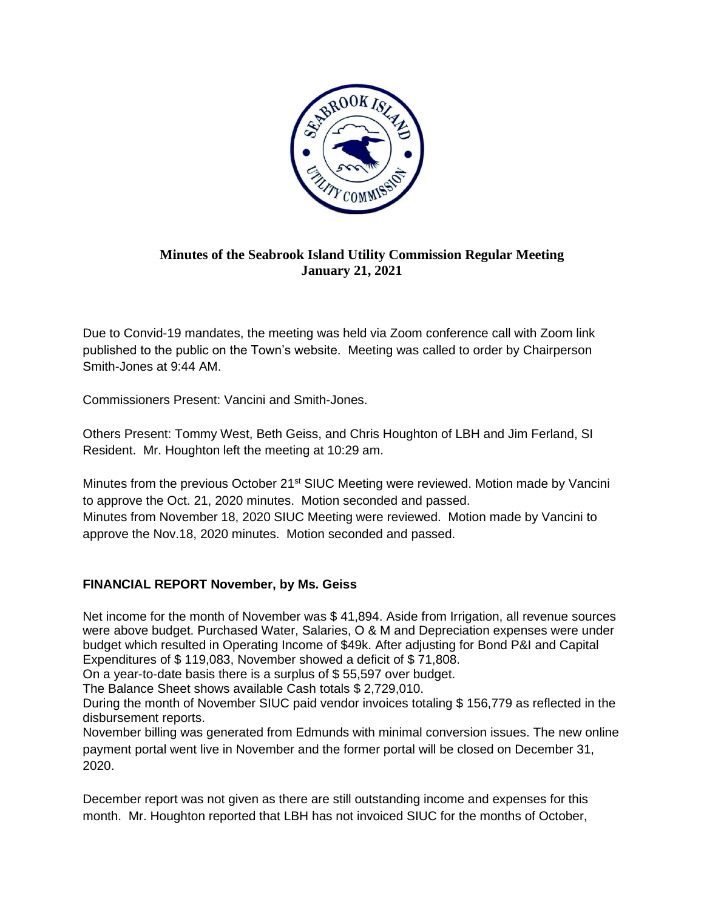

## **Minutes of the Seabrook Island Utility Commission Regular Meeting January 21, 2021**

Due to Convid-19 mandates, the meeting was held via Zoom conference call with Zoom link published to the public on the Town's website. Meeting was called to order by Chairperson Smith-Jones at 9:44 AM.

Commissioners Present: Vancini and Smith-Jones.

Others Present: Tommy West, Beth Geiss, and Chris Houghton of LBH and Jim Ferland, SI Resident. Mr. Houghton left the meeting at 10:29 am.

Minutes from the previous October 21<sup>st</sup> SIUC Meeting were reviewed. Motion made by Vancini to approve the Oct. 21, 2020 minutes. Motion seconded and passed. Minutes from November 18, 2020 SIUC Meeting were reviewed. Motion made by Vancini to approve the Nov.18, 2020 minutes. Motion seconded and passed.

## **FINANCIAL REPORT November, by Ms. Geiss**

Net income for the month of November was \$ 41,894. Aside from Irrigation, all revenue sources were above budget. Purchased Water, Salaries, O & M and Depreciation expenses were under budget which resulted in Operating Income of \$49k. After adjusting for Bond P&I and Capital Expenditures of \$ 119,083, November showed a deficit of \$ 71,808.

On a year-to-date basis there is a surplus of \$ 55,597 over budget.

The Balance Sheet shows available Cash totals \$ 2,729,010.

During the month of November SIUC paid vendor invoices totaling \$ 156,779 as reflected in the disbursement reports.

November billing was generated from Edmunds with minimal conversion issues. The new online payment portal went live in November and the former portal will be closed on December 31, 2020.

December report was not given as there are still outstanding income and expenses for this month. Mr. Houghton reported that LBH has not invoiced SIUC for the months of October,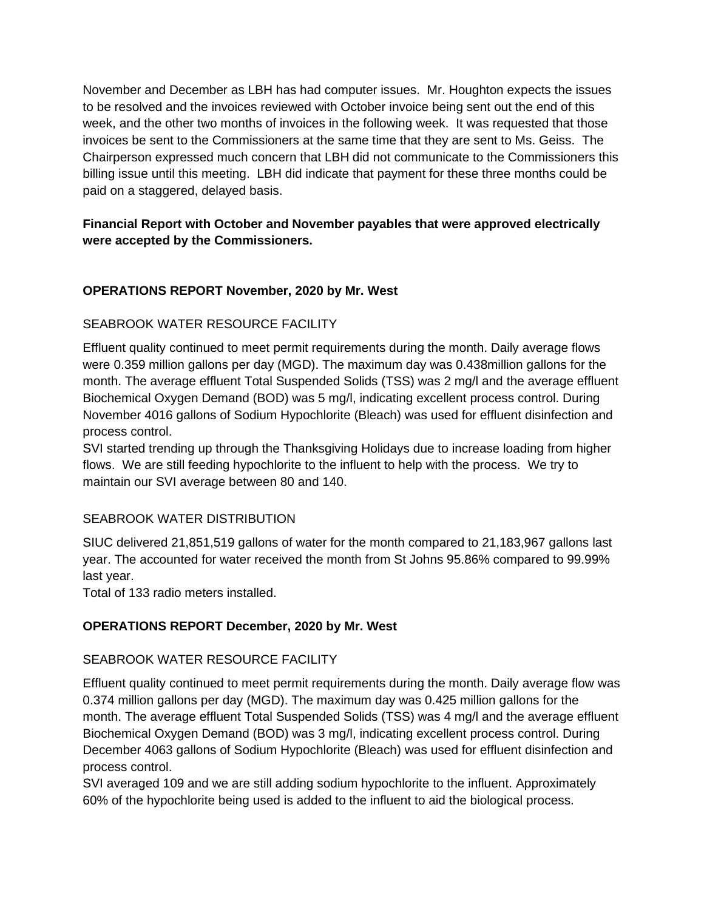November and December as LBH has had computer issues. Mr. Houghton expects the issues to be resolved and the invoices reviewed with October invoice being sent out the end of this week, and the other two months of invoices in the following week. It was requested that those invoices be sent to the Commissioners at the same time that they are sent to Ms. Geiss. The Chairperson expressed much concern that LBH did not communicate to the Commissioners this billing issue until this meeting. LBH did indicate that payment for these three months could be paid on a staggered, delayed basis.

# **Financial Report with October and November payables that were approved electrically were accepted by the Commissioners.**

# **OPERATIONS REPORT November, 2020 by Mr. West**

# SEABROOK WATER RESOURCE FACILITY

Effluent quality continued to meet permit requirements during the month. Daily average flows were 0.359 million gallons per day (MGD). The maximum day was 0.438million gallons for the month. The average effluent Total Suspended Solids (TSS) was 2 mg/l and the average effluent Biochemical Oxygen Demand (BOD) was 5 mg/l, indicating excellent process control. During November 4016 gallons of Sodium Hypochlorite (Bleach) was used for effluent disinfection and process control.

SVI started trending up through the Thanksgiving Holidays due to increase loading from higher flows. We are still feeding hypochlorite to the influent to help with the process. We try to maintain our SVI average between 80 and 140.

## SEABROOK WATER DISTRIBUTION

SIUC delivered 21,851,519 gallons of water for the month compared to 21,183,967 gallons last year. The accounted for water received the month from St Johns 95.86% compared to 99.99% last year.

Total of 133 radio meters installed.

## **OPERATIONS REPORT December, 2020 by Mr. West**

## SEABROOK WATER RESOURCE FACILITY

Effluent quality continued to meet permit requirements during the month. Daily average flow was 0.374 million gallons per day (MGD). The maximum day was 0.425 million gallons for the month. The average effluent Total Suspended Solids (TSS) was 4 mg/l and the average effluent Biochemical Oxygen Demand (BOD) was 3 mg/l, indicating excellent process control. During December 4063 gallons of Sodium Hypochlorite (Bleach) was used for effluent disinfection and process control.

SVI averaged 109 and we are still adding sodium hypochlorite to the influent. Approximately 60% of the hypochlorite being used is added to the influent to aid the biological process.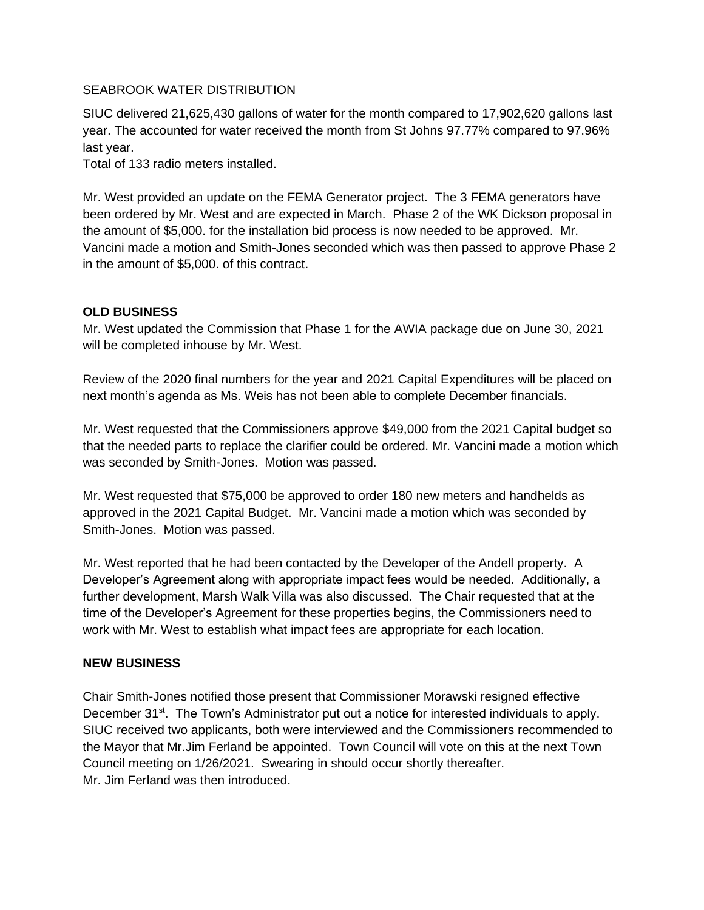#### SEABROOK WATER DISTRIBUTION

SIUC delivered 21,625,430 gallons of water for the month compared to 17,902,620 gallons last year. The accounted for water received the month from St Johns 97.77% compared to 97.96% last year.

Total of 133 radio meters installed.

Mr. West provided an update on the FEMA Generator project. The 3 FEMA generators have been ordered by Mr. West and are expected in March. Phase 2 of the WK Dickson proposal in the amount of \$5,000. for the installation bid process is now needed to be approved. Mr. Vancini made a motion and Smith-Jones seconded which was then passed to approve Phase 2 in the amount of \$5,000. of this contract.

#### **OLD BUSINESS**

Mr. West updated the Commission that Phase 1 for the AWIA package due on June 30, 2021 will be completed inhouse by Mr. West.

Review of the 2020 final numbers for the year and 2021 Capital Expenditures will be placed on next month's agenda as Ms. Weis has not been able to complete December financials.

Mr. West requested that the Commissioners approve \$49,000 from the 2021 Capital budget so that the needed parts to replace the clarifier could be ordered. Mr. Vancini made a motion which was seconded by Smith-Jones. Motion was passed.

Mr. West requested that \$75,000 be approved to order 180 new meters and handhelds as approved in the 2021 Capital Budget. Mr. Vancini made a motion which was seconded by Smith-Jones. Motion was passed.

Mr. West reported that he had been contacted by the Developer of the Andell property. A Developer's Agreement along with appropriate impact fees would be needed. Additionally, a further development, Marsh Walk Villa was also discussed. The Chair requested that at the time of the Developer's Agreement for these properties begins, the Commissioners need to work with Mr. West to establish what impact fees are appropriate for each location.

#### **NEW BUSINESS**

Chair Smith-Jones notified those present that Commissioner Morawski resigned effective December 31<sup>st</sup>. The Town's Administrator put out a notice for interested individuals to apply. SIUC received two applicants, both were interviewed and the Commissioners recommended to the Mayor that Mr.Jim Ferland be appointed. Town Council will vote on this at the next Town Council meeting on 1/26/2021. Swearing in should occur shortly thereafter. Mr. Jim Ferland was then introduced.